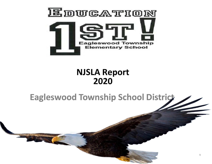

#### **NJSLA Report 2020**

### **Eagleswood Township School District**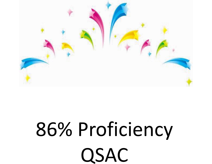# 86% Proficiency QSAC

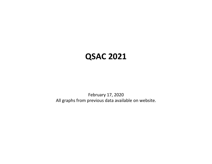#### **QSAC 2021**

February 17, 2020 All graphs from previous data available on website.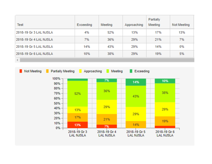| <b>Test</b>            | <b>Exceeding</b> | <b>Meeting</b> | Approaching | Partially<br>Meeting | Not Meeting |
|------------------------|------------------|----------------|-------------|----------------------|-------------|
| 2018-19 Gr 3 LAL NJSLA | 4%               | 52%            | 13%         | 17%                  | 13%         |
| 2018-19 Gr 4 LAL NJSLA | 7%               | 36%            | 29%         | 21%                  | 7%          |
| 2018-19 Gr 5 LAL NJSLA | 14%              | 43%            | 29%         | 14%                  | 0%          |
| 2018-19 Gr 6 LAL NJSLA | 10%              | 38%            | 29%         | 19%                  | 5%          |
| 4.                     |                  |                |             |                      |             |

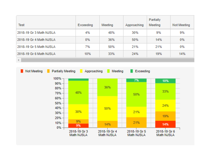| <b>Test</b>             | <b>Exceeding</b> | Meeting | Approaching | Partially<br>Meeting | Not Meeting |
|-------------------------|------------------|---------|-------------|----------------------|-------------|
| 2018-19 Gr 3 Math NJSLA | 4%               | 48%     | 30%         | 9%                   | 9%          |
| 2018-19 Gr 4 Math NJSLA | 0%               | 36%     | 50%         | 14%                  | 0%          |
| 2018-19 Gr 5 Math NJSLA | 7%               | 50%     | 21%         | 21%                  | 0%          |
| 2018-19 Gr 6 Math NJSLA | 10%              | 33%     | 24%         | 19%                  | 14%         |
| 4.                      |                  |         |             |                      |             |

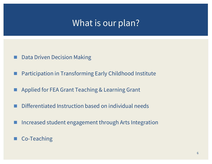## What is our plan?

- Data Driven Decision Making
- Participation in Transforming Early Childhood Institute
- Applied for FEA Grant Teaching & Learning Grant
- Differentiated Instruction based on individual needs
- Increased student engagement through Arts Integration
- Co-Teaching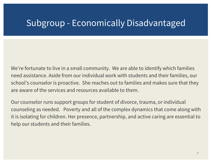### Subgroup - Economically Disadvantaged

We're fortunate to live in a small community. We are able to identify which families need assistance. Aside from our individual work with students and their families, our school's counselor is proactive. She reaches out to families and makes sure that they are aware of the services and resources available to them.

Our counselor runs support groups for student of divorce, trauma, or individual counseling as needed. Poverty and all of the complex dynamics that come along with it is isolating for children. Her presence, partnership, and active caring are essential to help our students and their families.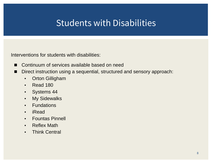# Students with Disabilities

Interventions for students with disabilities:

- Continuum of services available based on need
- Direct instruction using a sequential, structured and sensory approach:
	- Orton Gilligham
	- Read 180
	- Systems 44
	- My Sidewalks
	- Fundations
	- iRead
	- Fountas Pinnell
	- Reflex Math
	- Think Central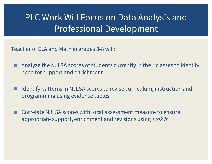# PLC Work Will Focus on Data Analysis and Professional Development

Teacher of ELA and Math in grades 3-8 will:

- Analyze the NJLSA scores of students currently in their classes to identify need for support and enrichment.
- Identify patterns in NJLSA scores to revise curriculum, instruction and programming using evidence tables
- ◼ Correlate NJLSA scores with local assessment measure to ensure appropriate support, enrichment and revisions using Link It!